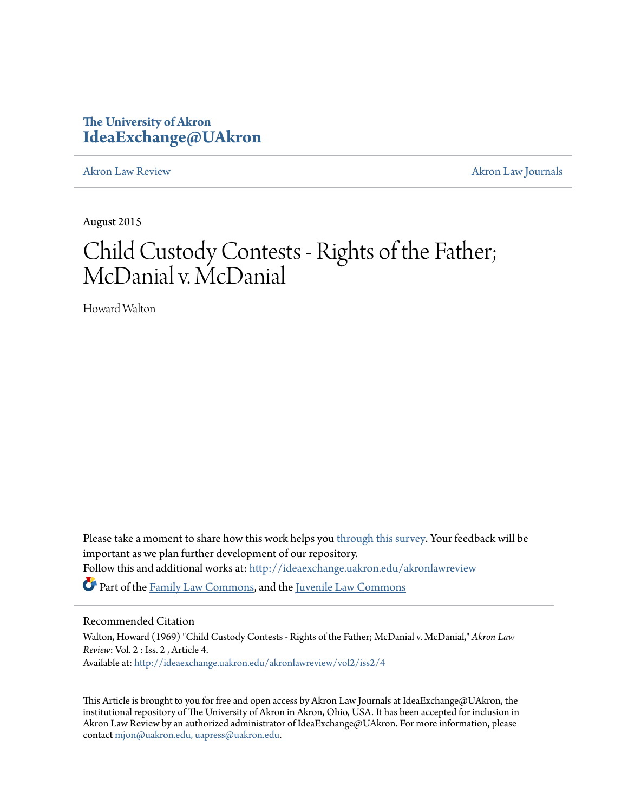# **The University of Akron [IdeaExchange@UAkron](http://ideaexchange.uakron.edu?utm_source=ideaexchange.uakron.edu%2Fakronlawreview%2Fvol2%2Fiss2%2F4&utm_medium=PDF&utm_campaign=PDFCoverPages)**

[Akron Law Review](http://ideaexchange.uakron.edu/akronlawreview?utm_source=ideaexchange.uakron.edu%2Fakronlawreview%2Fvol2%2Fiss2%2F4&utm_medium=PDF&utm_campaign=PDFCoverPages) [Akron Law Journals](http://ideaexchange.uakron.edu/akronlawjournals?utm_source=ideaexchange.uakron.edu%2Fakronlawreview%2Fvol2%2Fiss2%2F4&utm_medium=PDF&utm_campaign=PDFCoverPages)

August 2015

# Child Custody Contests - Rights of the Father; McDanial v. McDanial

Howard Walton

Please take a moment to share how this work helps you [through this survey.](http://survey.az1.qualtrics.com/SE/?SID=SV_eEVH54oiCbOw05f&URL=http://ideaexchange.uakron.edu/akronlawreview/vol2/iss2/4) Your feedback will be important as we plan further development of our repository. Follow this and additional works at: [http://ideaexchange.uakron.edu/akronlawreview](http://ideaexchange.uakron.edu/akronlawreview?utm_source=ideaexchange.uakron.edu%2Fakronlawreview%2Fvol2%2Fiss2%2F4&utm_medium=PDF&utm_campaign=PDFCoverPages) Part of the [Family Law Commons,](http://network.bepress.com/hgg/discipline/602?utm_source=ideaexchange.uakron.edu%2Fakronlawreview%2Fvol2%2Fiss2%2F4&utm_medium=PDF&utm_campaign=PDFCoverPages) and the [Juvenile Law Commons](http://network.bepress.com/hgg/discipline/851?utm_source=ideaexchange.uakron.edu%2Fakronlawreview%2Fvol2%2Fiss2%2F4&utm_medium=PDF&utm_campaign=PDFCoverPages)

## Recommended Citation

Walton, Howard (1969) "Child Custody Contests - Rights of the Father; McDanial v. McDanial," *Akron Law Review*: Vol. 2 : Iss. 2 , Article 4. Available at: [http://ideaexchange.uakron.edu/akronlawreview/vol2/iss2/4](http://ideaexchange.uakron.edu/akronlawreview/vol2/iss2/4?utm_source=ideaexchange.uakron.edu%2Fakronlawreview%2Fvol2%2Fiss2%2F4&utm_medium=PDF&utm_campaign=PDFCoverPages)

This Article is brought to you for free and open access by Akron Law Journals at IdeaExchange@UAkron, the institutional repository of The University of Akron in Akron, Ohio, USA. It has been accepted for inclusion in Akron Law Review by an authorized administrator of IdeaExchange@UAkron. For more information, please contact [mjon@uakron.edu, uapress@uakron.edu.](mailto:mjon@uakron.edu,%20uapress@uakron.edu)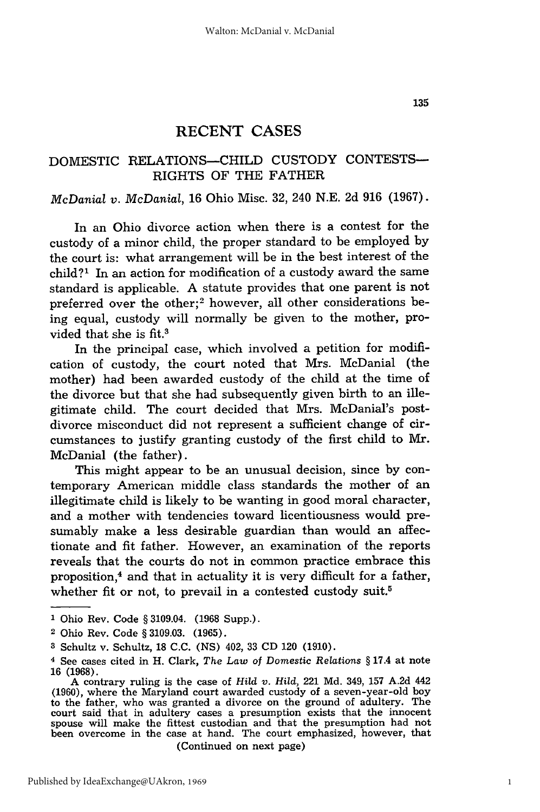## DOMESTIC RELATIONS-CHILD CUSTODY CONTESTS-RIGHTS OF THE FATHER

#### *McDanial v. McDanial,* 16 Ohio Misc. 32, 240 N.E. 2d 916 (1967).

In an Ohio divorce action when there is a contest for the custody of a minor child, the proper standard to be employed by the court is: what arrangement will be in the best interest of the child?' In an action for modification of a custody award the same standard is applicable. A statute provides that one parent is not preferred over the other;<sup>2</sup> however, all other considerations being equal, custody will normally be given to the mother, provided that she is fit.3

In the principal case, which involved a petition for modification of custody, the court noted that Mrs. McDanial (the mother) had been awarded custody of the child at the time of the divorce but that she had subsequently given birth to an illegitimate child. The court decided that Mrs. McDanial's postdivorce misconduct did not represent a sufficient change of circumstances to justify granting custody of the first child to Mr. McDanial (the father).

This might appear to be an unusual decision, since by contemporary American middle class standards the mother of an illegitimate child is likely to be wanting in good moral character, and a mother with tendencies toward licentiousness would presumably make a less desirable guardian than would an affectionate and fit father. However, an examination of the reports reveals that the courts do not in common practice embrace this proposition, $<sup>4</sup>$  and that in actuality it is very difficult for a father,</sup> whether fit or not, to prevail in a contested custody suit.<sup>5</sup>

- **1** Ohio Rev. Code § 3109.04. (1968 Supp.).
- 2 Ohio Rev. Code § 3109.03. (1965).
- **3** Schultz v. Schultz, 18 C.C. (NS) 402, 33 CD 120 (1910).

(Continued on next page)

1

<sup>4</sup> See cases cited in H. Clark, *The Law of Domestic Relations* § 17.4 at note **16 (1968).**

A contrary ruling is the case of *Hild v. Hild,* 221 Md. 349, 157 A.2d 442 (1960), where the Maryland court awarded custody of a seven-year-old boy to the father, who was granted a divorce on the ground of adultery. The court said that in adultery cases a presumption exists that the innocent spouse will make the fittest custodian and that the presumption had not been overcome in the case at hand. The court emphasized, however, that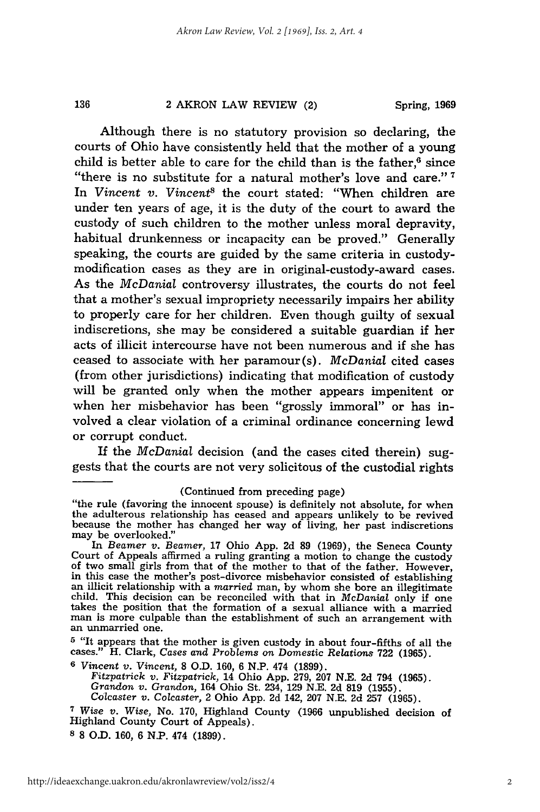#### 2 AKRON LAW REVIEW (2)

136

Although there is no statutory provision so declaring, the courts of Ohio have consistently held that the mother of a young child is better able to care for the child than is the father, $6$  since "there is no substitute for a natural mother's love and care." **<sup>7</sup>** In *Vincent v. Vincent<sup>8</sup>* the court stated: "When children are under ten years of age, it is the duty of the court to award the custody of such children to the mother unless moral depravity, habitual drunkenness or incapacity can be proved." Generally speaking, the courts are guided **by** the same criteria in custodymodification cases as they are in original-custody-award cases. As the *McDanial* controversy illustrates, the courts do not feel that a mother's sexual impropriety necessarily impairs her ability to properly care for her children. Even though guilty of sexual indiscretions, she may be considered a suitable guardian if her acts of illicit intercourse have not been numerous and if she has ceased to associate with her paramour (s). *McDanial* cited cases (from other jurisdictions) indicating that modification of custody will be granted only when the mother appears impenitent or when her misbehavior has been "grossly immoral" or has involved a clear violation of a criminal ordinance concerning lewd or corrupt conduct.

If the *McDanial* decision (and the cases cited therein) suggests that the courts are not very solicitous of the custodial rights

#### (Continued from preceding page)

**<sup>5</sup>**"It appears that the mother is given custody in about four-fifths of all the cases." H. Clark, *Cases* and *Problems* on Domestic Relations **722 (1965).**

**<sup>6</sup>***Vincent v. Vincent,* **8 O.D. 160, 6 N.P.** 474 **(1899).**

*Fitzpatrick v. Fitzpatrick,* 14 Ohio **App. 279, 207 N.E. 2d** 794 **(1965).** *Grandon v. Grandon,* 164 Ohio St. 234, **129 N.E. 2d 819 (1955).**

*Colcaster v.* Colcaster, 2 Ohio **App. 2d** 142, **207 N.E. 2d 257 (1965).**

**8 8 O.D. 160, 6 N.P.** 474 **(1899).**

<sup>&</sup>quot;the rule (favoring the innocent spouse) is definitely not absolute, for when the adulterous relationship has ceased and appears unlikely to be revived because the mother has changed her way of living, her past indiscretions may be overlooked."

In Beamer v. Beamer, 17 Ohio App. 2d 89 (1969), the Seneca County<br>Court of Appeals affirmed a ruling granting a motion to change the custody<br>of two small girls from that of the mother to that of the father. However,<br>in thi an illicit relationship with a married man, by whom she bore an illegitimate child. This decision can be reconciled with that in  $McDanial$  only if one takes the position that the formation of a sexual alliance with a married an unmarried one.

**<sup>7</sup>***Wise v. Wise,* No. **170,** Highland County **(1966** unpublished decision of Highland County Court of Appeals).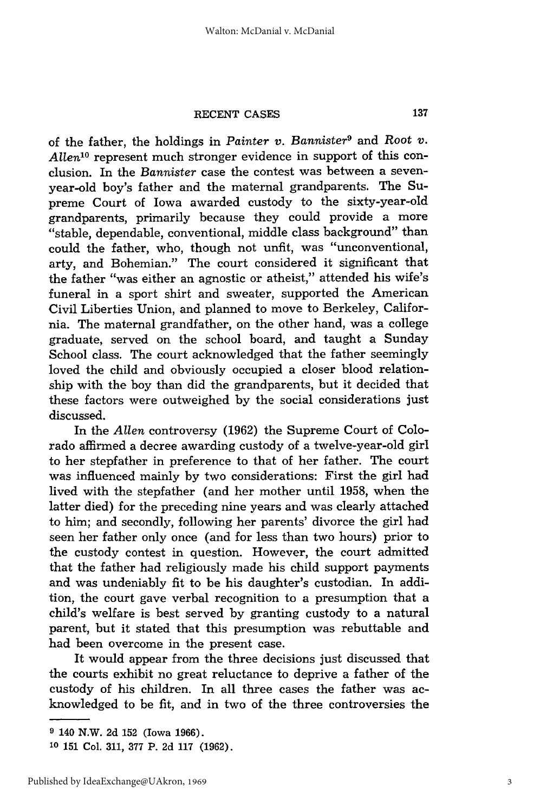#### **RECENT CASES**

of the father, the holdings in *Painter v. Bannister9* and *Root v. Allen*<sup>10</sup> represent much stronger evidence in support of this conclusion. In the *Bannister* case the contest was between a sevenyear-old boy's father and the maternal grandparents. The Supreme Court of Iowa awarded custody to the sixty-year-old grandparents, primarily because they could provide a more "stable, dependable, conventional, middle class background" than could the father, who, though not unfit, was "unconventional, arty, and Bohemian." The court considered it significant that the father "was either an agnostic or atheist," attended his wife's funeral in a sport shirt and sweater, supported the American Civil Liberties Union, and planned to move to Berkeley, California. The maternal grandfather, on the other hand, was a college graduate, served on the school board, and taught a Sunday School class. The court acknowledged that the father seemingly loved the child and obviously occupied a closer blood relationship with the boy than did the grandparents, but it decided that these factors were outweighed by the social considerations just discussed.

In the *Allen* controversy (1962) the Supreme Court of Colorado affirmed a decree awarding custody of a twelve-year-old girl to her stepfather in preference to that of her father. The court was influenced mainly by two considerations: First the girl had lived with the stepfather (and her mother until 1958, when the latter died) for the preceding nine years and was clearly attached to him; and secondly, following her parents' divorce the girl had seen her father only once (and for less than two hours) prior to the custody contest in question. However, the court admitted that the father had religiously made his child support payments and was undeniably fit to be his daughter's custodian. In addition, the court gave verbal recognition to a presumption that a child's welfare is best served by granting custody to a natural parent, but it stated that this presumption was rebuttable and had been overcome in the present case.

It would appear from the three decisions just discussed that the courts exhibit no great reluctance to deprive a father of the custody of his children. In all three cases the father was acknowledged to be fit, and in two of the three controversies the

**<sup>9</sup>** 140 N.W. **2d 152** (Iowa **1966).**

**<sup>10</sup>151** Col. **311, 377** P. **2d 117 (1962).**